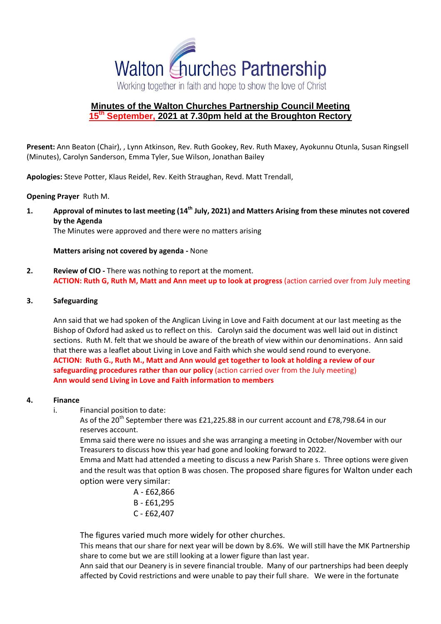

# **Minutes of the Walton Churches Partnership Council Meeting 15th September, 2021 at 7.30pm held at the Broughton Rectory**

**Present:** Ann Beaton (Chair), , Lynn Atkinson, Rev. Ruth Gookey, Rev. Ruth Maxey, Ayokunnu Otunla, Susan Ringsell (Minutes), Carolyn Sanderson, Emma Tyler, Sue Wilson, Jonathan Bailey

**Apologies:** Steve Potter, Klaus Reidel, Rev. Keith Straughan, Revd. Matt Trendall,

**Opening Prayer** Ruth M.

**1. Approval of minutes to last meeting (14th July, 2021) and Matters Arising from these minutes not covered by the Agenda**

The Minutes were approved and there were no matters arising

**Matters arising not covered by agenda -** None

**2. Review of CIO -** There was nothing to report at the moment. **ACTION: Ruth G, Ruth M, Matt and Ann meet up to look at progress** (action carried over from July meeting

#### **3. Safeguarding**

Ann said that we had spoken of the Anglican Living in Love and Faith document at our last meeting as the Bishop of Oxford had asked us to reflect on this. Carolyn said the document was well laid out in distinct sections. Ruth M. felt that we should be aware of the breath of view within our denominations. Ann said that there was a leaflet about Living in Love and Faith which she would send round to everyone. **ACTION: Ruth G., Ruth M., Matt and Ann would get together to look at holding a review of our safeguarding procedures rather than our policy** (action carried over from the July meeting) **Ann would send Living in Love and Faith information to members**

#### **4. Finance**

i. Financial position to date:

As of the 20<sup>th</sup> September there was £21,225.88 in our current account and £78,798.64 in our reserves account.

Emma said there were no issues and she was arranging a meeting in October/November with our Treasurers to discuss how this year had gone and looking forward to 2022.

Emma and Matt had attended a meeting to discuss a new Parish Share s. Three options were given and the result was that option B was chosen. The proposed share figures for Walton under each option were very similar:

> A - £62,866 B - £61,295 C - £62,407

The figures varied much more widely for other churches.

This means that our share for next year will be down by 8.6%. We will still have the MK Partnership share to come but we are still looking at a lower figure than last year.

Ann said that our Deanery is in severe financial trouble. Many of our partnerships had been deeply affected by Covid restrictions and were unable to pay their full share. We were in the fortunate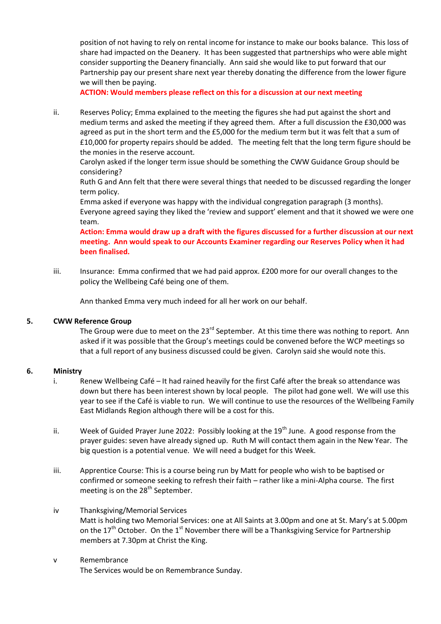position of not having to rely on rental income for instance to make our books balance. This loss of share had impacted on the Deanery. It has been suggested that partnerships who were able might consider supporting the Deanery financially. Ann said she would like to put forward that our Partnership pay our present share next year thereby donating the difference from the lower figure we will then be paying.

**ACTION: Would members please reflect on this for a discussion at our next meeting**

ii. Reserves Policy; Emma explained to the meeting the figures she had put against the short and medium terms and asked the meeting if they agreed them. After a full discussion the £30,000 was agreed as put in the short term and the £5,000 for the medium term but it was felt that a sum of £10,000 for property repairs should be added. The meeting felt that the long term figure should be the monies in the reserve account.

Carolyn asked if the longer term issue should be something the CWW Guidance Group should be considering?

Ruth G and Ann felt that there were several things that needed to be discussed regarding the longer term policy.

Emma asked if everyone was happy with the individual congregation paragraph (3 months). Everyone agreed saying they liked the 'review and support' element and that it showed we were one team.

**Action: Emma would draw up a draft with the figures discussed for a further discussion at our next meeting. Ann would speak to our Accounts Examiner regarding our Reserves Policy when it had been finalised.**

iii. Insurance: Emma confirmed that we had paid approx. £200 more for our overall changes to the policy the Wellbeing Café being one of them.

Ann thanked Emma very much indeed for all her work on our behalf.

#### **5. CWW Reference Group**

The Group were due to meet on the 23<sup>rd</sup> September. At this time there was nothing to report. Ann asked if it was possible that the Group's meetings could be convened before the WCP meetings so that a full report of any business discussed could be given. Carolyn said she would note this.

#### **6. Ministry**

- i. Renew Wellbeing Café It had rained heavily for the first Café after the break so attendance was down but there has been interest shown by local people. The pilot had gone well. We will use this year to see if the Café is viable to run. We will continue to use the resources of the Wellbeing Family East Midlands Region although there will be a cost for this.
- ii. Week of Guided Prayer June 2022: Possibly looking at the 19<sup>th</sup> June. A good response from the prayer guides: seven have already signed up. Ruth M will contact them again in the New Year. The big question is a potential venue. We will need a budget for this Week.
- iii. Apprentice Course: This is a course being run by Matt for people who wish to be baptised or confirmed or someone seeking to refresh their faith – rather like a mini-Alpha course. The first meeting is on the 28<sup>th</sup> September.
- iv Thanksgiving/Memorial Services Matt is holding two Memorial Services: one at All Saints at 3.00pm and one at St. Mary's at 5.00pm on the  $17<sup>th</sup>$  October. On the  $1<sup>st</sup>$  November there will be a Thanksgiving Service for Partnership members at 7.30pm at Christ the King.
- v Remembrance The Services would be on Remembrance Sunday.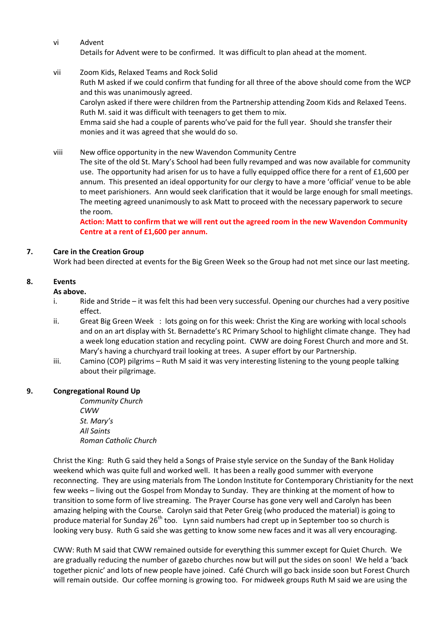#### vi Advent Details for Advent were to be confirmed. It was difficult to plan ahead at the moment.

- vii Zoom Kids, Relaxed Teams and Rock Solid Ruth M asked if we could confirm that funding for all three of the above should come from the WCP and this was unanimously agreed. Carolyn asked if there were children from the Partnership attending Zoom Kids and Relaxed Teens. Ruth M. said it was difficult with teenagers to get them to mix. Emma said she had a couple of parents who've paid for the full year. Should she transfer their monies and it was agreed that she would do so.
- viii New office opportunity in the new Wavendon Community Centre The site of the old St. Mary's School had been fully revamped and was now available for community use. The opportunity had arisen for us to have a fully equipped office there for a rent of  $£1,600$  per annum. This presented an ideal opportunity for our clergy to have a more 'official' venue to be able to meet parishioners. Ann would seek clarification that it would be large enough for small meetings. The meeting agreed unanimously to ask Matt to proceed with the necessary paperwork to secure the room.

**Action: Matt to confirm that we will rent out the agreed room in the new Wavendon Community Centre at a rent of £1,600 per annum.**

# **7. Care in the Creation Group**

Work had been directed at events for the Big Green Week so the Group had not met since our last meeting.

## **8. Events**

## **As above.**

- i. Ride and Stride it was felt this had been very successful. Opening our churches had a very positive effect.
- ii. Great Big Green Week : lots going on for this week: Christ the King are working with local schools and on an art display with St. Bernadette's RC Primary School to highlight climate change. They had a week long education station and recycling point. CWW are doing Forest Church and more and St. Mary's having a churchyard trail looking at trees. A super effort by our Partnership.
- iii. Camino (COP) pilgrims Ruth M said it was very interesting listening to the young people talking about their pilgrimage.

## **9. Congregational Round Up**

*Community Church CWW St. Mary's All Saints Roman Catholic Church*

Christ the King: Ruth G said they held a Songs of Praise style service on the Sunday of the Bank Holiday weekend which was quite full and worked well. It has been a really good summer with everyone reconnecting. They are using materials from The London Institute for Contemporary Christianity for the next few weeks – living out the Gospel from Monday to Sunday. They are thinking at the moment of how to transition to some form of live streaming. The Prayer Course has gone very well and Carolyn has been amazing helping with the Course. Carolyn said that Peter Greig (who produced the material) is going to produce material for Sunday  $26<sup>th</sup>$  too. Lynn said numbers had crept up in September too so church is looking very busy. Ruth G said she was getting to know some new faces and it was all very encouraging.

CWW: Ruth M said that CWW remained outside for everything this summer except for Quiet Church. We are gradually reducing the number of gazebo churches now but will put the sides on soon! We held a 'back together picnic' and lots of new people have joined. Café Church will go back inside soon but Forest Church will remain outside. Our coffee morning is growing too. For midweek groups Ruth M said we are using the